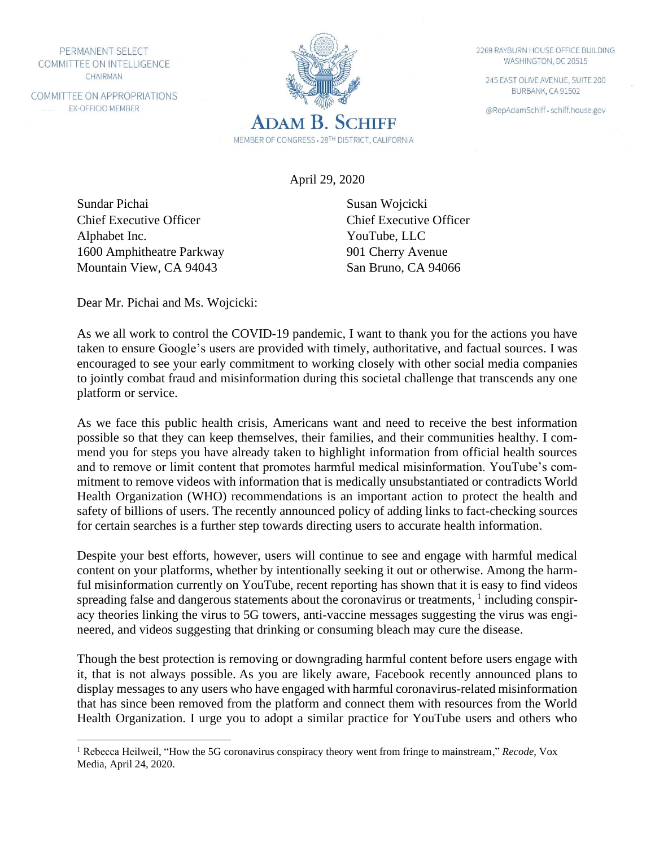PERMANENT SELECT COMMITTEE ON INTELLIGENCE CHAIRMAN

COMMITTEE ON APPROPRIATIONS **EX-OFFICIO MEMBER** 



April 29, 2020

Sundar Pichai Chief Executive Officer Alphabet Inc. 1600 Amphitheatre Parkway Mountain View, CA 94043

Susan Wojcicki Chief Executive Officer YouTube, LLC 901 Cherry Avenue San Bruno, CA 94066

Dear Mr. Pichai and Ms. Wojcicki:

As we all work to control the COVID-19 pandemic, I want to thank you for the actions you have taken to ensure Google's users are provided with timely, authoritative, and factual sources. I was encouraged to see your early commitment to working closely with other social media companies to jointly combat fraud and misinformation during this societal challenge that transcends any one platform or service.

As we face this public health crisis, Americans want and need to receive the best information possible so that they can keep themselves, their families, and their communities healthy. I commend you for steps you have already taken to highlight information from official health sources and to remove or limit content that promotes harmful medical misinformation. YouTube's commitment to remove videos with information that is medically unsubstantiated or contradicts World Health Organization (WHO) recommendations is an important action to protect the health and safety of billions of users. The recently announced policy of adding links to fact-checking sources for certain searches is a further step towards directing users to accurate health information.

Despite your best efforts, however, users will continue to see and engage with harmful medical content on your platforms, whether by intentionally seeking it out or otherwise. Among the harmful misinformation currently on YouTube, recent reporting has shown that it is easy to find videos spreading false and dangerous statements about the coronavirus or treatments,  $1$  including conspiracy theories linking the virus to 5G towers, anti-vaccine messages suggesting the virus was engineered, and videos suggesting that drinking or consuming bleach may cure the disease.

Though the best protection is removing or downgrading harmful content before users engage with it, that is not always possible. As you are likely aware, Facebook recently announced plans to display messages to any users who have engaged with harmful coronavirus-related misinformation that has since been removed from the platform and connect them with resources from the World Health Organization. I urge you to adopt a similar practice for YouTube users and others who

2269 RAYBURN HOUSE OFFICE BUILDING WASHINGTON, DC 20515

245 EAST OLIVE AVENUE, SUITE 200 BURBANK, CA 91502

@RepAdamSchiff · schiff.house.gov

<sup>1</sup> Rebecca Heilweil, "How the 5G coronavirus conspiracy theory went from fringe to mainstream," *Recode*, Vox Media, April 24, 2020.